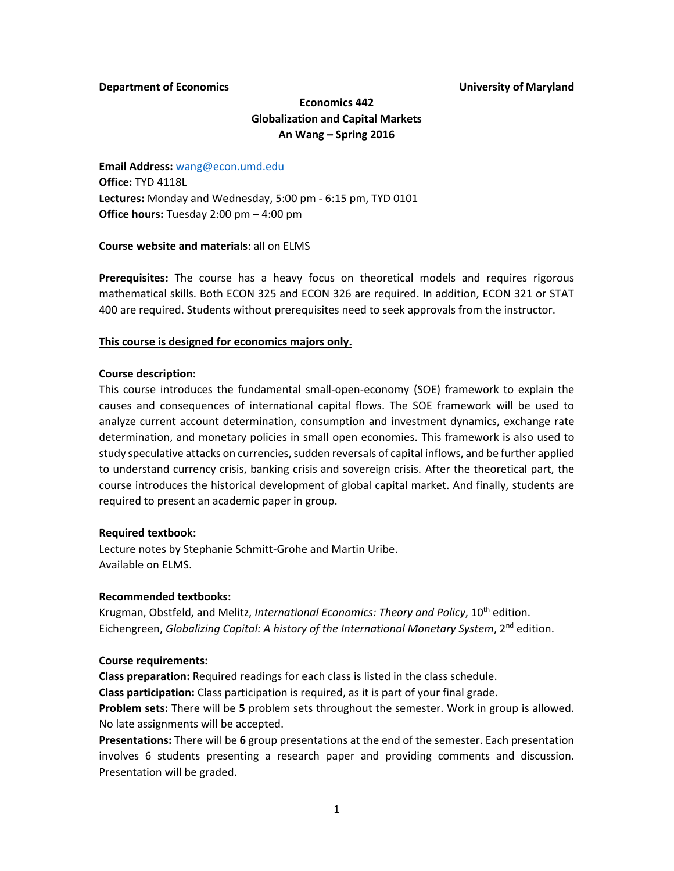### **Department of Economics University of Maryland**

# **Economics 442 Globalization and Capital Markets An Wang – Spring 2016**

**Email Address:** [wang@econ.umd.edu](mailto:wang@econ.umd.edu) **Office:** TYD 4118L **Lectures:** Monday and Wednesday, 5:00 pm - 6:15 pm, TYD 0101 **Office hours:** Tuesday 2:00 pm – 4:00 pm

### **Course website and materials**: all on ELMS

**Prerequisites:** The course has a heavy focus on theoretical models and requires rigorous mathematical skills. Both ECON 325 and ECON 326 are required. In addition, ECON 321 or STAT 400 are required. Students without prerequisites need to seek approvals from the instructor.

## **This course is designed for economics majors only.**

### **Course description:**

This course introduces the fundamental small-open-economy (SOE) framework to explain the causes and consequences of international capital flows. The SOE framework will be used to analyze current account determination, consumption and investment dynamics, exchange rate determination, and monetary policies in small open economies. This framework is also used to study speculative attacks on currencies, sudden reversals of capital inflows, and be further applied to understand currency crisis, banking crisis and sovereign crisis. After the theoretical part, the course introduces the historical development of global capital market. And finally, students are required to present an academic paper in group.

### **Required textbook:**

Lecture notes by Stephanie Schmitt-Grohe and Martin Uribe. Available on ELMS.

### **Recommended textbooks:**

Krugman, Obstfeld, and Melitz, *International Economics: Theory and Policy*, 10th edition. Eichengreen, *Globalizing Capital: A history of the International Monetary System*, 2nd edition.

### **Course requirements:**

**Class preparation:** Required readings for each class is listed in the class schedule.

**Class participation:** Class participation is required, as it is part of your final grade.

**Problem sets:** There will be **5** problem sets throughout the semester. Work in group is allowed. No late assignments will be accepted.

**Presentations:** There will be **6** group presentations at the end of the semester. Each presentation involves 6 students presenting a research paper and providing comments and discussion. Presentation will be graded.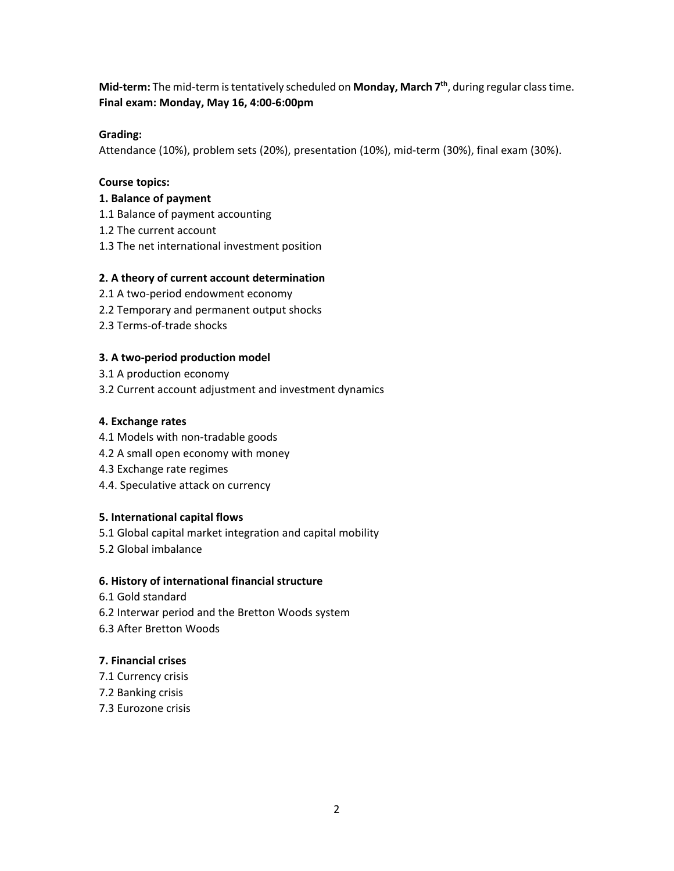**Mid-term:** The mid-term is tentatively scheduled on **Monday, March 7th** , during regular class time. **Final exam: Monday, May 16, 4:00-6:00pm**

# **Grading:**

Attendance (10%), problem sets (20%), presentation (10%), mid-term (30%), final exam (30%).

# **Course topics:**

# **1. Balance of payment**

- 1.1 Balance of payment accounting
- 1.2 The current account
- 1.3 The net international investment position

# **2. A theory of current account determination**

- 2.1 A two-period endowment economy
- 2.2 Temporary and permanent output shocks
- 2.3 Terms-of-trade shocks

# **3. A two-period production model**

- 3.1 A production economy
- 3.2 Current account adjustment and investment dynamics

## **4. Exchange rates**

- 4.1 Models with non-tradable goods
- 4.2 A small open economy with money
- 4.3 Exchange rate regimes
- 4.4. Speculative attack on currency

## **5. International capital flows**

- 5.1 Global capital market integration and capital mobility
- 5.2 Global imbalance

## **6. History of international financial structure**

- 6.1 Gold standard
- 6.2 Interwar period and the Bretton Woods system
- 6.3 After Bretton Woods

# **7. Financial crises**

- 7.1 Currency crisis
- 7.2 Banking crisis
- 7.3 Eurozone crisis